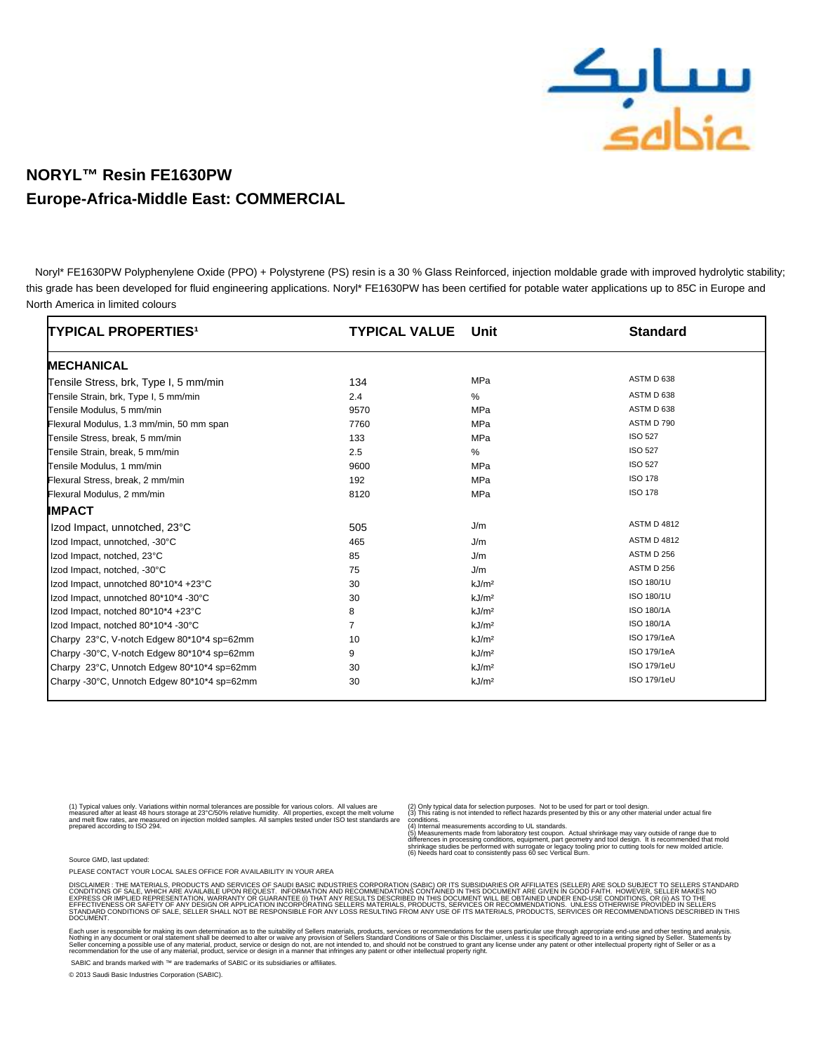

## **NORYL™ Resin FE1630PW Europe-Africa-Middle East: COMMERCIAL**

 Noryl\* FE1630PW Polyphenylene Oxide (PPO) + Polystyrene (PS) resin is a 30 % Glass Reinforced, injection moldable grade with improved hydrolytic stability; this grade has been developed for fluid engineering applications. Noryl\* FE1630PW has been certified for potable water applications up to 85C in Europe and North America in limited colours

| <b>TYPICAL PROPERTIES<sup>1</sup></b>       | <b>TYPICAL VALUE</b> | Unit              | <b>Standard</b>    |
|---------------------------------------------|----------------------|-------------------|--------------------|
| <b>MECHANICAL</b>                           |                      |                   |                    |
| Tensile Stress, brk, Type I, 5 mm/min       | 134                  | MPa               | ASTM D 638         |
| Tensile Strain, brk, Type I, 5 mm/min       | 2.4                  | %                 | ASTM D 638         |
| Tensile Modulus, 5 mm/min                   | 9570                 | MPa               | ASTM D 638         |
| Flexural Modulus, 1.3 mm/min, 50 mm span    | 7760                 | MPa               | ASTM D 790         |
| Tensile Stress, break, 5 mm/min             | 133                  | MPa               | <b>ISO 527</b>     |
| Tensile Strain, break, 5 mm/min             | 2.5                  | %                 | <b>ISO 527</b>     |
| Tensile Modulus, 1 mm/min                   | 9600                 | MPa               | <b>ISO 527</b>     |
| Flexural Stress, break, 2 mm/min            | 192                  | MPa               | <b>ISO 178</b>     |
| Flexural Modulus, 2 mm/min                  | 8120                 | MPa               | <b>ISO 178</b>     |
| <b>IMPACT</b>                               |                      |                   |                    |
| Izod Impact, unnotched, 23°C                | 505                  | J/m               | <b>ASTM D 4812</b> |
| Izod Impact, unnotched, -30°C               | 465                  | J/m               | <b>ASTM D 4812</b> |
| Izod Impact, notched, 23°C                  | 85                   | J/m               | ASTM D 256         |
| Izod Impact, notched, -30°C                 | 75                   | J/m               | ASTM D 256         |
| Izod Impact, unnotched 80*10*4 +23°C        | 30                   | kJ/m <sup>2</sup> | ISO 180/1U         |
| Izod Impact, unnotched 80*10*4 -30°C        | 30                   | kJ/m <sup>2</sup> | ISO 180/1U         |
| Izod Impact, notched 80*10*4 +23°C          | 8                    | kJ/m <sup>2</sup> | ISO 180/1A         |
| Izod Impact, notched 80*10*4 -30°C          | $\overline{7}$       | kJ/m <sup>2</sup> | ISO 180/1A         |
| Charpy 23°C, V-notch Edgew 80*10*4 sp=62mm  | 10                   | kJ/m <sup>2</sup> | ISO 179/1eA        |
| Charpy -30°C, V-notch Edgew 80*10*4 sp=62mm | 9                    | kJ/m <sup>2</sup> | ISO 179/1eA        |
| Charpy 23°C, Unnotch Edgew 80*10*4 sp=62mm  | 30                   | kJ/m <sup>2</sup> | ISO 179/1eU        |
| Charpy -30°C, Unnotch Edgew 80*10*4 sp=62mm | 30                   | kJ/m <sup>2</sup> | ISO 179/1eU        |

(1) Typical values only. Variations within normal tolerances are possible for various colors. All values are<br>measured after at least 48 hours storage at 23°C/50% relative humidity. All properties, except the melt volume<br>an

(2) Only typical data for selection purposes. Not to be used for part or tool design. (3) This rating is not intended to reflect hazards presented by this or any other material under actual fire

conditions.<br>(4) Internal measurements according to UL standards.<br>(5) Measurements made from laboratory test coupon. Actual shrinkage may vary outside of range due to<br>stifferences in processing conditions, equipment, part g

Source GMD, last updated:

PLEASE CONTACT YOUR LOCAL SALES OFFICE FOR AVAILABILITY IN YOUR AREA

DISCLAMER : THE MATERIALS, PRODUCTS AND SERVICES OF SAUDI BASIC MDUSTRIES CORPORATION (SABIC) OR ITS SUBSIDIARDES OR<br>CONDITIONS OF SALE, WHICH ARE AVAILABLE UPON REQUEST. INFORMATION AND RECOMMENDATIONS CONTAINED IN THIS D **DOCUMENT** 

Each user is responsible for making its own determination as to the suitablity of Seller s materials, products, services or recommendations for the user s particular use through appropriate end-use and other to suppropriat

SABIC and brands marked with ™ are trademarks of SABIC or its subsidiaries or affiliates.

© 2013 Saudi Basic Industries Corporation (SABIC).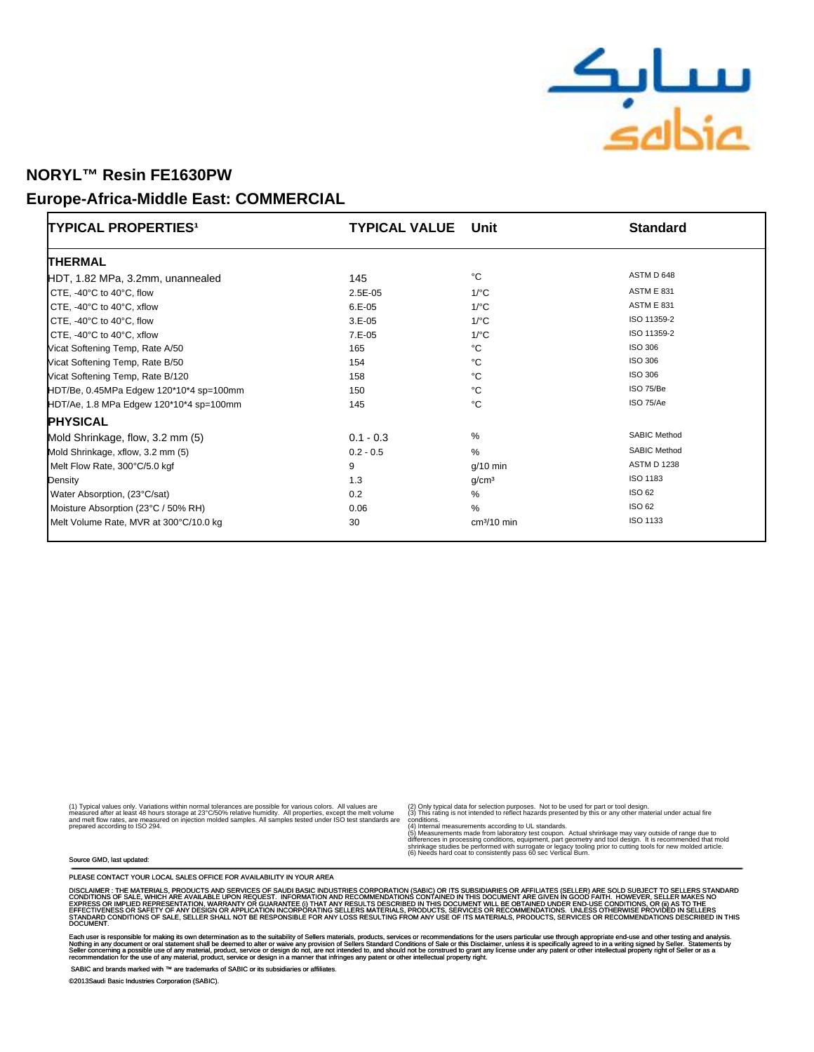

## **NORYL™ Resin FE1630PW**

### **Europe-Africa-Middle East: COMMERCIAL**

| TYPICAL PROPERTIES <sup>1</sup>               | <b>TYPICAL VALUE</b> | Unit              | <b>Standard</b>     |
|-----------------------------------------------|----------------------|-------------------|---------------------|
| <b>THERMAL</b>                                |                      |                   |                     |
| HDT, 1.82 MPa, 3.2mm, unannealed              | 145                  | °C                | ASTM D 648          |
| CTE, -40°C to 40°C, flow                      | 2.5E-05              | $1$ /°C           | <b>ASTM E 831</b>   |
| CTE, -40 $\degree$ C to 40 $\degree$ C, xflow | $6.E-05$             | $1$ /°C           | <b>ASTM E 831</b>   |
| CTE, -40°C to 40°C, flow                      | $3.E-05$             | $1$ /°C           | ISO 11359-2         |
| CTE, -40°C to 40°C, xflow                     | $7.E-05$             | $1$ /°C           | ISO 11359-2         |
| Vicat Softening Temp, Rate A/50               | 165                  | °C                | ISO 306             |
| Vicat Softening Temp, Rate B/50               | 154                  | °€                | <b>ISO 306</b>      |
| Vicat Softening Temp, Rate B/120              | 158                  | °C                | <b>ISO 306</b>      |
| HDT/Be, 0.45MPa Edgew 120*10*4 sp=100mm       | 150                  | °€                | ISO 75/Be           |
| HDT/Ae, 1.8 MPa Edgew 120*10*4 sp=100mm       | 145                  | °C                | ISO 75/Ae           |
| <b>PHYSICAL</b>                               |                      |                   |                     |
| Mold Shrinkage, flow, 3.2 mm (5)              | $0.1 - 0.3$          | %                 | <b>SABIC Method</b> |
| Mold Shrinkage, xflow, 3.2 mm (5)             | $0.2 - 0.5$          | $\%$              | <b>SABIC Method</b> |
| Melt Flow Rate, 300°C/5.0 kgf                 | 9                    | $g/10$ min        | <b>ASTM D 1238</b>  |
| Density                                       | 1.3                  | g/cm <sup>3</sup> | ISO 1183            |
| Water Absorption, (23°C/sat)                  | 0.2                  | $\%$              | <b>ISO 62</b>       |
| Moisture Absorption (23°C / 50% RH)           | 0.06                 | %                 | ISO 62              |
| Melt Volume Rate, MVR at 300°C/10.0 kg        | 30                   | $cm3/10$ min      | ISO 1133            |

(1) Typical values only. Variations within normal tolerances are possible for various colors. All values are<br>measured after at least 48 hours storage at 23°C/50% relative humidity. All properties, except the melt volume<br>an

(2) Only typical data for selection purposes. Not to be used for part or tool design. (3) This rating is not intended to reflect hazards presented by this or any other material under actual fire

conditions.<br>(4) Internal measurements according to UL standards.<br>(5) Measurements made from laboratory test coupon. Actual shrinkage may vary outside of range due to<br>stifferences in processing conditions, equipment, part g

#### Source GMD, last updated:

PLEASE CONTACT YOUR LOCAL SALES OFFICE FOR AVAILABILITY IN YOUR AREA

DISCLAMER : THE MATERIALS, PRODUCTS AND SERVICES OF SAUDI BASIC MDUSTRIES CORPORATION (SABIC) OR ITS SUASIDIARD<br>CONDITIONS OF SALE, WHICH ARE AVAILABLE UPON REQUEST. INFORMATION AND RECOMMENDATIONS CONTAINED IN ITS INSURSE DOCUMENT.

Each user is responsible for making its own determination as to the suitablity of Seller s materials, products, services or recommendations for the user s particular use through appropriate end-use.<br>Nothing in any document

SABIC and brands marked with ™ are trademarks of SABIC or its subsidiaries or affiliates.

©2013Saudi Basic Industries Corporation (SABIC).